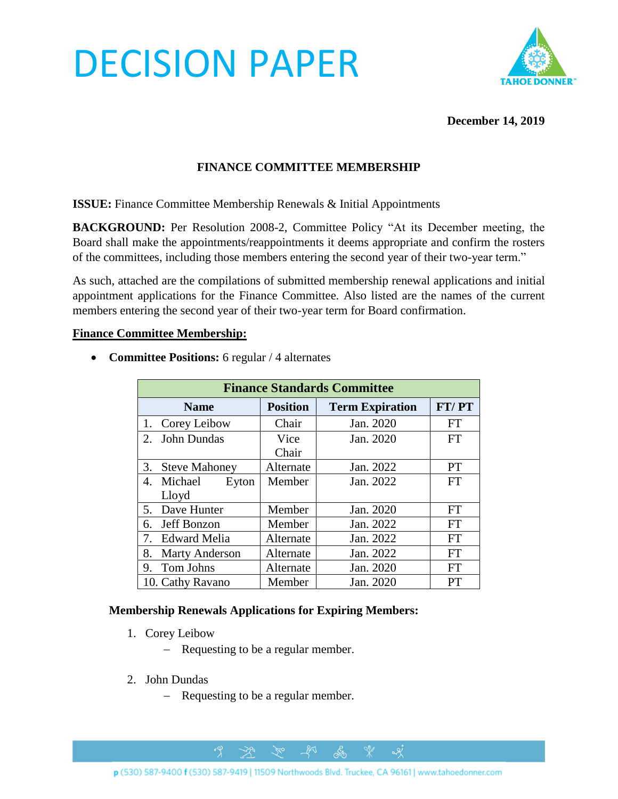# DECISION PAPER



#### **December 14, 2019**

## **FINANCE COMMITTEE MEMBERSHIP**

**ISSUE:** Finance Committee Membership Renewals & Initial Appointments

**BACKGROUND:** Per Resolution 2008-2, Committee Policy "At its December meeting, the Board shall make the appointments/reappointments it deems appropriate and confirm the rosters of the committees, including those members entering the second year of their two-year term."

As such, attached are the compilations of submitted membership renewal applications and initial appointment applications for the Finance Committee. Also listed are the names of the current members entering the second year of their two-year term for Board confirmation.

#### **Finance Committee Membership:**

**Finance Standards Committee Name Position Term Expiration FT/ PT** 1. Corey Leibow | Chair | Jan. 2020 | FT 2. John Dundas Vice Chair Jan. 2020 FT 3. Steve Mahoney | Alternate | Jan. 2022 | PT 4. Michael Eyton Lloyd Member Jan. 2022 FT 5. Dave Hunter Member Jan. 2020 FT 6. Jeff Bonzon  $\vert$  Member  $\vert$  Jan. 2022  $\vert$  FT 7. Edward Melia | Alternate | Jan. 2022 | FT 8. Marty Anderson | Alternate | Jan. 2022 | FT

9. Tom Johns Alternate Jan. 2020 FT 10. Cathy Ravano Member Jan. 2020 PT

• **Committee Positions:** 6 regular / 4 alternates

#### **Membership Renewals Applications for Expiring Members:**

- 1. Corey Leibow
	- − Requesting to be a regular member.
- 2. John Dundas
	- − Requesting to be a regular member.

 $\mathbb{R}$ 

 $\mathscr{H}^{\circ}$ 

 $281$ 

ക്ക

 $\alpha$